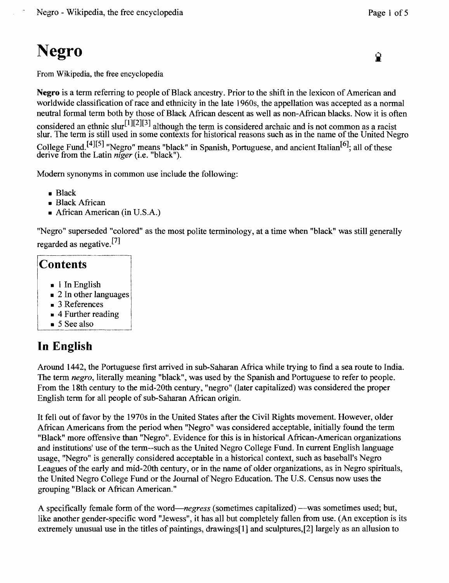# **Negro**

From Wikipedia, the free encyclopedia

**Negro** is a term referring to people of Black ancestry. Prior to the shift in the lexicon of American and worldwide classification of race and ethnicity in the late 1960s, the appellation was accepted as a normal neutral formal term both by those of Black African descent as well as non-African blacks. Now it is often considered an ethnic slur<sup>[1][2][3]</sup> although the term is considered archaic and is not common as a racist slur. The term is still used in some contexts for historical reasons such as in the name of the United Negro College Fund.<sup>[4][5]</sup> "Negro" means "black" in Spanish, Portuguese, and ancient Italian<sup>[6]</sup>; all of these derive from the Latin *niger* (i.e. "black").

Modem synonyms in common use include the following:

- Black
- Black African
- African American (in U.S.A.)

"Negro" superseded "colored" as the most polite terminology, at a time when "black" was still generally regarded as negative. [7]

#### $$

- I In English
- $\overline{\phantom{a}}$  $\blacksquare$  2 In other languages
- $\blacksquare$  3 References
- $\blacksquare$  4 Further reading
- $\blacksquare$  5 See also

#### **In English**

Around 1442, the Portuguese first arrived in sub-Saharan Africa while trying to find a sea route to India. The term *negro,* literally meaning "black", was used by the Spanish and Portuguese to refer to people. From the 18th century to the mid-20th century, "negro" (later capitalized) was considered the proper English term for all people of sub-Saharan African origin.

It fell out of favor by the 1970s in the United States after the Civil Rights movement. However, older African Americans from the period when "Negro" was considered acceptable, initially found the term "Black" more offensive than "Negro". Evidence for this is in historical African-American organizations and institutions' use of the term--such as the United Negro College Fund. In current English language usage, "Negro" is generally considered acceptable in a historical context, such as baseball's Negro Leagues of the early and mid-20th century, or in the name of older organizations, as in Negro spirituals, the United Negro College Fund or the Journal of Negro Education. The U.S. Census now uses the grouping "Black or African American."

A specifically female form of the word—*negress* (sometimes capitalized)—was sometimes used; but, like another gender-specific word "Jewess", it has all but completely fallen from use. (An exception is its extremely unusual use in the titles of paintings, drawings[1] and sculptures,[2] largely as an allusion to

Q.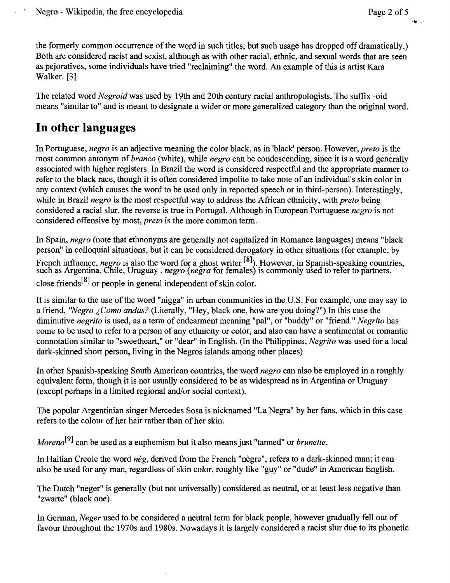''W "

the formerly common occurrence of the word in such titles, but such usage has dropped off dramatically.) Both are considered racist and sexist, although as with other racial, ethnic, and sexual words that are seen as pejoratives, some individuals have tried "reclaiming" the word. An example ofthis is artist Kara Walker. [3]

The related word *Negroid* was used by 19th and 20th century racial anthropologists. The suffix -oid means "similar to" and is meant to designate a wider or more generalized category than the original word.

#### **In other languages**

In Portuguese, *negro* is an adjective meaning the color black, as in 'black' person. However, *preto* is the most common antonym of *branco* (white), while *negro* can be condescending, since it is a word generally associated with higher registers. In Brazil the word is considered respectful and the appropriate manner to refer to the black race, though it is often considered impolite to take note of an individual's skin color in any context (which causes the word to be used only in reported speech or in third-person). Interestingly, while in Brazil *negro* is the most respectful way to address the African ethnicity, with *preto* being considered a racial slur, the reverse is true in Portugal. Although in European Portuguese *negro* is not considered offensive by most, *preto* is the more common term.

In Spain, *negro* (note that ethnonyms are generally not capitalized in Romance languages) means "black person" in colloquial situations, but it can be considered derogatory in other situations (for example, by French influence, *negro* is also the word for a ghost writer <sup>[0]</sup>). However, in Spanish-speaking countries, such as Argentina, Chile, Uruguay, *negro (negra* for females) is commonly used to refer to partners, close friends<sup>[8]</sup> or people in general independent of skin color.

It is similar to the use of the word "nigga" in urban communities in the U.S. For example, one may say to a friend, *"Negro ; Como andas?* (Literally, "Hey, black one, how are you doing?") In this case the diminutive *negrito* is used, as a term of endearment meaning "pal", or "buddy" or "friend." *Negrito* has come to be used to refer to a person of any ethnicity or color, and also can have a sentimental or romantic connotation similar to "sweetheart," or "dear" in English. (In the Philippines, *Negrito* was used for a local dark-skinned short person, living in the Negros islands among other places)

In other Spanish-speaking South American countries, the word *negro* can also be employed in a roughly equivalent form, though it is not usually considered to be as widespread as in Argentina or Uruguay (except perhaps in a limited regional and/or social context).

The popular Argentinian singer Mercedes Sosa is nicknamed "La Negra" by her fans, which in this case refers to the colour of her hair rather than of her skin.

*Moreno[9]* can be used as a euphemism but it also means just "tanned" or *brunette.* 

In Haitian Creole the word *neg*, derived from the French "negre", refers to a dark-skinned man; it can also be used for any man, regardless of skin color, roughly like "guy" or "dude" in American English.

The Dutch "neger" is generally (but not universally) considered as neutral, or at least less negative than "zwarte" (black one).

In German, *Neger* used to be considered a neutral term for black people, however gradually fell out of favour throughout the 1970s and 1980s. Nowadays it is largely considered a racist slur due to its phonetic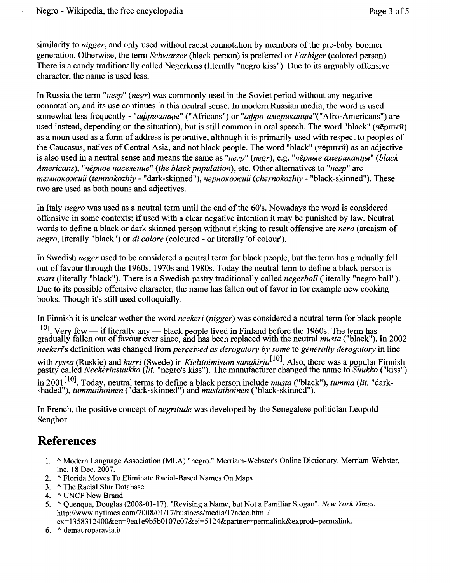similarity to *nigger,* and only used without racist connotation by members ofthe pre-baby boomer generation. Otherwise, the term *Schwarzer* (black person) is preferred or *Farbiger* (colored person). There is a candy traditionally called Negerkuss (literally "negro kiss"). Due to its arguably offensive character, the name is used less.

In Russia the term *"ueep" (negr)* was commonly used in the Soviet period without any negative connotation, and its use continues in this neutral sense. In modem Russian media, the word is used somewhat less frequently - "*африканцы*" ("Africans") or "*афро-американцы*" ("Afro-Americans") are used instead, depending on the situation), but is still common in oral speech. The word "black" (чёрный) as a noun used as a form of address is pejorative, although it is primarily used with respect to peoples of the Caucasus, natives of Central Asia, and not black people. The word "black" (чёрный) as an adjective is also used in a neutral sense and means the same as "*uezp*" (*negr*), e.g. "*чёрные американиы*" (*black Americans), "uepuoe uaceneuue" (the black population),* etc. Other alternatives to *"ueep"* are *mемнокожий (temnokozhiy -* "dark-skinned"), *чернокожий (chernokozhiv -* "black-skinned"). These two are used as both nouns and adjectives.

In Italy *negro* was used as a neutral term until the end of the 60's. Nowadays the word is considered offensive in some contexts; if used with a clear negative intention it may be punished by law. Neutral words to defme a black or dark skinned person without risking to result offensive are *nero* (arcaism of *negro,* literally "black") or *di colore* (coloured - or literally 'of colour').

In Swedish *neger* used to be considered a neutral term for black people, but the term has gradually fell out of favour through the 1960s, 1970s and 1980s. Today the neutral term to define a black person is *svart* (literally "black"). There is a Swedish pastry traditionally called *negerboll* (literally "negro ball"). Due to its possible offensive character, the name has fallen out of favor in for example new cooking books. Though it's still used colloquially.

In Finnish it is unclear wether the word *neekeri (nigger)* was considered a neutral term for black people  $[10]$ . Very few — if literally any — black people lived in Finland before the 1960s. The term has gradually fallen out of favour ever since, and has been replaced with the neutral *musta* ("black"). In 2002 *neekeri's* definition was changed from *perceived as derogatory by some* to *generally derogatory* in line with *ryssä* (Ruskie) and *hurri* (Swede) in *Kielitoimiston sanakirja*<sup>[10]</sup>. Also, there was a popular Finnish pastry called *Neekerinsuukko (lit.* "negro's kiss"). The manufacturer changed the name to *Suukko* ("kiss")

in 2001<sup>110</sup>. Today, neutral terms to define a black person include *musta* ("black"), *tumma (lit.* "dark shaded"), *tummaihoinen* ("dark-skinned") and *mustaihoinen* ("black-skinned").

In French, the positive concept of *negritude* was developed by the Senegalese politician Leopold Senghor.

### **References**

- 1. ^ Modern Language Association (MLA):"negro." Merriam-Webster's Online Dictionary. Merriam-Webster, Inc. 18 Dec. 2007.
- 2. ^ Florida Moves To Eliminate Racial-Based Names On Maps
- 3. ^ The Racial Slur Database
- 4. ^ UNCF New Brand
- *5.* 1\ Quenqua, Douglas (2008-01-17). "Revising a Name, but Not a Familiar Slogan". *New York Times.*  http://www.nytimes.com/2008/01/17/business/media/I7adco.html?
- ex= 1358312400&en=geale9b5bO107c07&ei=5124&partner=perrnalink&exprod=perrnalink.
- 6. ^ demauroparavia.it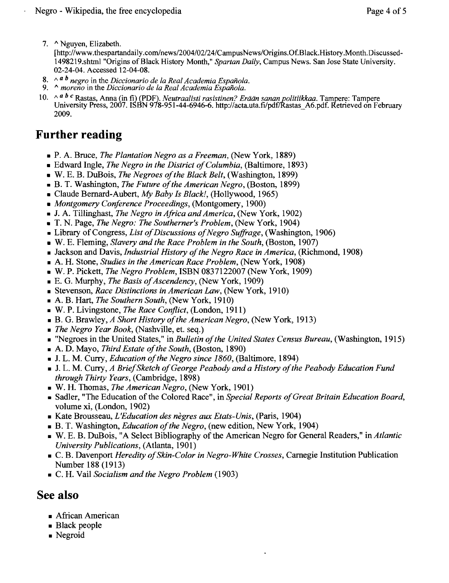7. ^ Nguyen, Elizabeth.

[http://www.thespartandaily.com/news/2004/02/24/CampusNews/Origins.Of.Black.History.Month.Discussed-1498219.shtml"Origins ofBlack History Month," *Spartan Daily,* Campus News. San Jose State University. 02-24-04. Accessed 12-04-08.

- 8.  $\land$  <sup>*a b*</sup> negro in the *Diccionario de la Real Academia Española.* 9.  $\land$  *moreno* in the *Diccionario de la Real Academia Española.*
- 
- 10. /\ *abc* Rastas, Anna (in fi) (PDF). *Neutraalisti rasistinen? Eraan sananpolitiikkaa.* Tampere: Tampere University Press, 2007. ISBN 978-951-44-6946-6. http://acta.uta.fi/pdflRastas\_A6.pdf. Retrieved on February 2009.

### **Further reading**

- P. A. Bruce, *The Plantation Negro as a Freeman,* (New York, 1889)
- Edward Ingle, *The Negro in the District ofColumbia,* (Baltimore, 1893)
- W. E. B. DuBois, *The Negroes ofthe Black Belt,* (Washington, 1899)
- B. T. Washington, *The Future ofthe American Negro,* (Boston, 1899)
- Claude Bernard-Aubert, *My Baby Is Black!,* (Hollywood, 1965)
- *Montgomery Conference Proceedings,* (Montgomery, 1900)
- J. A. Tillinghast, *The Negro in Africa and America,* (New York, 1902)
- T. N. Page, *The Negro: The Southerner's Problem,* (New York, 1904)
- Library of Congress, *List of Discussions of Negro Suffrage*, (Washington, 1906)
- W. E. Fleming, *Slavery and the Race Problem in the South,* (Boston, 1907)
- Jackson and Davis, *Industrial History of the Negro Race in America*, (Richmond, 1908)
- A. H. Stone, *Studies in the American Race Problem,* (New York, 1908)
- W. P. Pickett, *The Negro Problem,* ISBN 0837122007 (New York, 1909)
- E. G. Murphy, *The Basis ofAscendency,* (New York, 1909)
- Stevenson, *Race Distinctions in American Law,* (New York, 1910)
- A. B. Hart, *The Southern South,* (New York, 1910)
- W. P. Livingstone, *The Race Conflict,* (London, 1911)
- B. G. Brawley, *A Short History ofthe American Negro,* (New York, 1913)
- *The Negro Year Book,* (Nashville, et. seq.)
- "Negroes in the United States," in *Bulletin ofthe United States Census Bureau,* (Washington, 1915)
- A. D. Mayo, *Third Estate ofthe South,* (Boston, 1890)
- J. L. M. Curry, *Education ofthe Negro since 1860,* (Baltimore, 1894)
- J. L. M. Curry, *A BriefSketch ofGeorge Peabody and a History ofthe Peabody Education Fund through Thirty Years,* (Cambridge, 1898)
- W. H. Thomas, *The American Negro,* (New York, 1901)
- Sadler, "The Education of the Colored Race", in *Special Reports of Great Britain Education Board*, volume xi, (London, 1902)
- Kate Brousseau, *L'Education des negres aux Etats-Unis,* (Paris, 1904)
- B. T. Washington, *Education ofthe Negro,* (new edition, New York, 1904)
- W. E. B. DuBois, "A Select Bibliography of the American Negro for General Readers," in *Atlantic University Publications,* (Atlanta, 1901)
- C. B. Davenport *Heredity ofSkin-Color in Negro-White Crosses,* Carnegie Institution Publication Number 188 (1913)
- C. H. Vail *Socialism and the Negro Problem* (1903)

#### **See also**

- African American
- Black people
- Negroid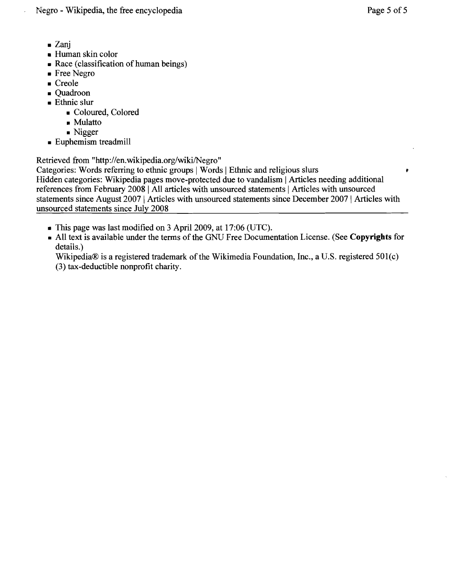- Zanj
- Human skin color
- Race (classification of human beings)
- Free Negro
- Creole
- Quadroon
- Ethnic slur
	- Coloured, Colored
	- Mulatto
	- Nigger
- Euphemism treadmill

Retrieved from ''http://en.wikipedia.org/wiki/Negro''

Categories: Words referring to ethnic groups | Words | Ethnic and religious slurs

Hidden categories: Wikipedia pages move-protected due to vandalism | Articles needing additional references from February 2008 | All articles with unsourced statements | Articles with unsourced statements since August 2007 | Articles with unsourced statements since December 2007 | Articles with unsourced statements since July 2008

- This page was last modified on 3 April 2009, at 17:06 (UTC).
- All text is available under the terms of the GNU Free Documentation License. (See **Copyrights** for details.)

Wikipedia® is a registered trademark of the Wikimedia Foundation, Inc., a U.S. registered  $501(c)$ (3) tax-deductible nonprofit charity.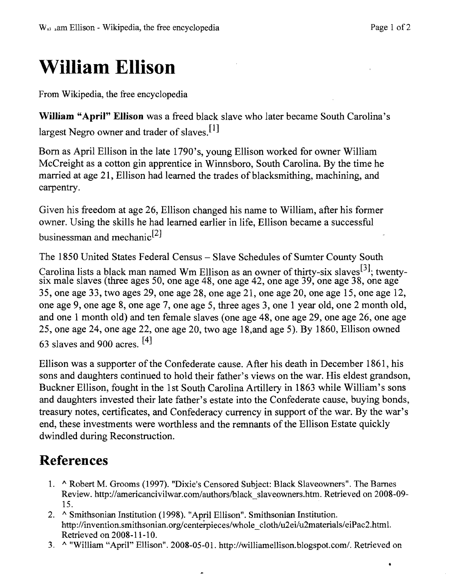•

# **William Ellison**

From Wikipedia, the free encyclopedia

**WiJliam "April" Ellison** was a freed black slave who later became South Carolina's largest Negro owner and trader of slaves.<sup>[1]</sup>

Born as April Ellison in the late 1790's, young Ellison worked for owner William McCreight as a cotton gin apprentice in Winnsboro, South Carolina. By the time he married at age 21, Ellison had learned the trades of blacksmithing, machining, and carpentry.

Given his freedom at age 26, Ellison changed his name to William, after his former owner. Using the skills he had learned earlier in life, Ellison became a successful businessman and mechanic<sup>[2]</sup>

The 1850 United States Federal Census - Slave Schedules of Sumter County South

Carolina lists a black man named Wm Ellison as an owner of thirty-six slaves<sup>[3]</sup>; twenty six male slaves (three ages 50, one age 48, one age 42, one age 39, one age 38, one age 35, one age 33, two ages 29, one age 28, one age 21, one age 20, one age 15, one age 12, one age 9, one age 8, one age 7, one age 5, three ages 3, one 1 year old, one 2 month old, and one 1 month old) and ten female slaves (one age 48, one age 29, one age 26, one age 25, one age 24, one age 22, one age 20, two age 18,and age 5). By 1860, Ellison owned 63 slaves and 900 acres. [4]

Ellison was a supporter of the Confederate cause. After his death in December 1861, his sons and daughters continued to hold their father's views on the war. His eldest grandson, Buckner Ellison, fought in the 1st South Carolina Artillery in 1863 while William's sons and daughters invested their late father's estate into the Confederate cause, buying bonds, treasury notes, certificates, and Confederacy currency in support of the war. By the war's end, these investments were worthless and the remnants of the Ellison Estate quickly dwindled during Reconstruction.

## **References**

- 1. ^ Robert M. Grooms (1997). "Dixie's Censored Subject: Black Slaveowners". The Barnes Review. http://americancivilwar.com/authors/black\_slaveowners.htm. Retrieved on 2008-09-15.
- 2. ^ Smithsonian Institution (1998). "April Ellison". Smithsonian Institution. http://invention.smithsonian.org/centerpieces/whole\_cloth/u2ei/u2materials/eiPac2.html. Retrieved on 2008-11-10.
- 3. A "William "April" Ellison". 2008-05-01. http://williamellison.blogspot.com/. Retrieved on